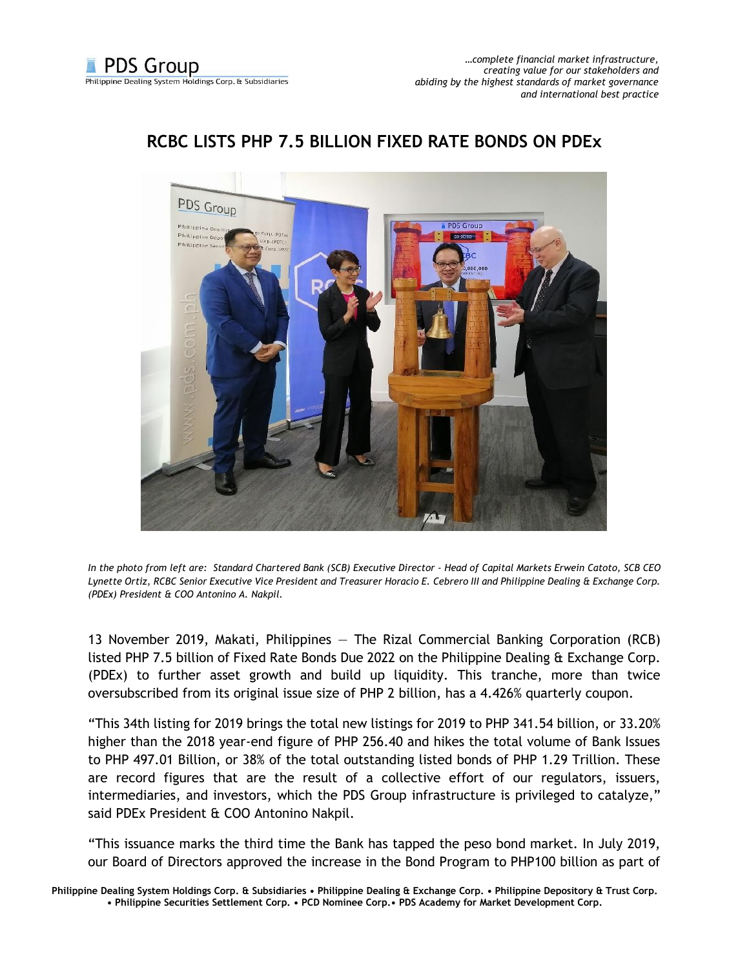

## **RCBC LISTS PHP 7.5 BILLION FIXED RATE BONDS ON PDEx**

*In the photo from left are: Standard Chartered Bank (SCB) Executive Director - Head of Capital Markets Erwein Catoto, SCB CEO Lynette Ortiz, RCBC Senior Executive Vice President and Treasurer Horacio E. Cebrero III and Philippine Dealing & Exchange Corp. (PDEx) President & COO Antonino A. Nakpil.*

13 November 2019, Makati, Philippines — The Rizal Commercial Banking Corporation (RCB) listed PHP 7.5 billion of Fixed Rate Bonds Due 2022 on the Philippine Dealing & Exchange Corp. (PDEx) to further asset growth and build up liquidity. This tranche, more than twice oversubscribed from its original issue size of PHP 2 billion, has a 4.426% quarterly coupon.

"This 34th listing for 2019 brings the total new listings for 2019 to PHP 341.54 billion, or 33.20% higher than the 2018 year-end figure of PHP 256.40 and hikes the total volume of Bank Issues to PHP 497.01 Billion, or 38% of the total outstanding listed bonds of PHP 1.29 Trillion. These are record figures that are the result of a collective effort of our regulators, issuers, intermediaries, and investors, which the PDS Group infrastructure is privileged to catalyze," said PDEx President & COO Antonino Nakpil.

"This issuance marks the third time the Bank has tapped the peso bond market. In July 2019, our Board of Directors approved the increase in the Bond Program to PHP100 billion as part of